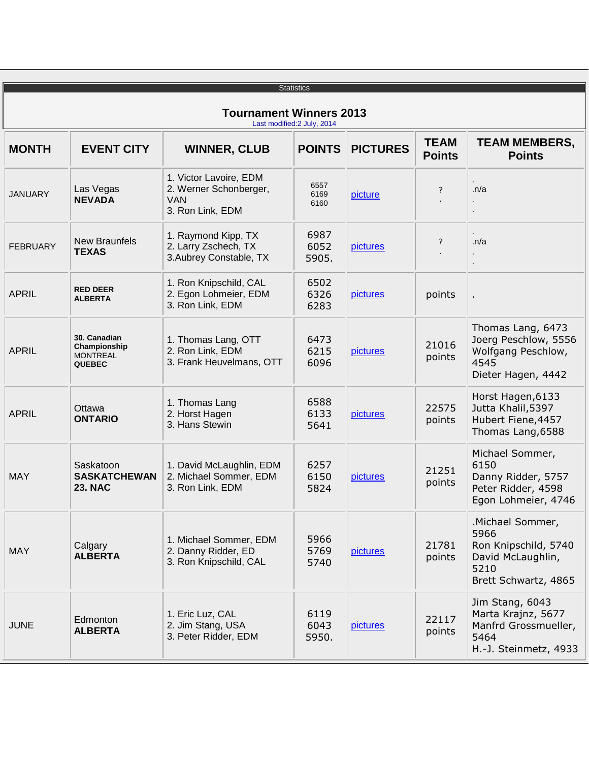|                                                               |                                                                  |                                                                                    | <b>Statistics</b>     |                 |                              |                                                                                                       |  |  |  |
|---------------------------------------------------------------|------------------------------------------------------------------|------------------------------------------------------------------------------------|-----------------------|-----------------|------------------------------|-------------------------------------------------------------------------------------------------------|--|--|--|
| <b>Tournament Winners 2013</b><br>Last modified: 2 July, 2014 |                                                                  |                                                                                    |                       |                 |                              |                                                                                                       |  |  |  |
| <b>MONTH</b>                                                  | <b>EVENT CITY</b>                                                | <b>WINNER, CLUB</b>                                                                | <b>POINTS</b>         | <b>PICTURES</b> | <b>TEAM</b><br><b>Points</b> | <b>TEAM MEMBERS,</b><br><b>Points</b>                                                                 |  |  |  |
| <b>JANUARY</b>                                                | Las Vegas<br><b>NEVADA</b>                                       | 1. Victor Lavoire, EDM<br>2. Werner Schonberger,<br><b>VAN</b><br>3. Ron Link, EDM | 6557<br>6169<br>6160  | picture         | ?                            | $\cdot$ n/a                                                                                           |  |  |  |
| <b>FEBRUARY</b>                                               | <b>New Braunfels</b><br><b>TEXAS</b>                             | 1. Raymond Kipp, TX<br>2. Larry Zschech, TX<br>3. Aubrey Constable, TX             | 6987<br>6052<br>5905. | pictures        | ?                            | $\cdot$ n/a                                                                                           |  |  |  |
| <b>APRIL</b>                                                  | <b>RED DEER</b><br><b>ALBERTA</b>                                | 1. Ron Knipschild, CAL<br>2. Egon Lohmeier, EDM<br>3. Ron Link, EDM                | 6502<br>6326<br>6283  | pictures        | points                       | ä,                                                                                                    |  |  |  |
| <b>APRIL</b>                                                  | 30. Canadian<br>Championship<br><b>MONTREAL</b><br><b>QUEBEC</b> | 1. Thomas Lang, OTT<br>2. Ron Link, EDM<br>3. Frank Heuvelmans, OTT                | 6473<br>6215<br>6096  | pictures        | 21016<br>points              | Thomas Lang, 6473<br>Joerg Peschlow, 5556<br>Wolfgang Peschlow,<br>4545<br>Dieter Hagen, 4442         |  |  |  |
| <b>APRIL</b>                                                  | Ottawa<br><b>ONTARIO</b>                                         | 1. Thomas Lang<br>2. Horst Hagen<br>3. Hans Stewin                                 | 6588<br>6133<br>5641  | pictures        | 22575<br>points              | Horst Hagen, 6133<br>Jutta Khalil, 5397<br>Hubert Fiene, 4457<br>Thomas Lang, 6588                    |  |  |  |
| <b>MAY</b>                                                    | Saskatoon<br><b>SASKATCHEWAN</b><br><b>23. NAC</b>               | 1. David McLaughlin, EDM<br>2. Michael Sommer, EDM<br>3. Ron Link, EDM             | 6257<br>6150<br>5824  | pictures        | 21251<br>points              | Michael Sommer,<br>6150<br>Danny Ridder, 5757<br>Peter Ridder, 4598<br>Egon Lohmeier, 4746            |  |  |  |
| <b>MAY</b>                                                    | Calgary<br><b>ALBERTA</b>                                        | 1. Michael Sommer, EDM<br>2. Danny Ridder, ED<br>3. Ron Knipschild, CAL            | 5966<br>5769<br>5740  | pictures        | 21781<br>points              | .Michael Sommer,<br>5966<br>Ron Knipschild, 5740<br>David McLaughlin,<br>5210<br>Brett Schwartz, 4865 |  |  |  |
| <b>JUNE</b>                                                   | Edmonton<br><b>ALBERTA</b>                                       | 1. Eric Luz, CAL<br>2. Jim Stang, USA<br>3. Peter Ridder, EDM                      | 6119<br>6043<br>5950. | pictures        | 22117<br>points              | Jim Stang, 6043<br>Marta Krajnz, 5677<br>Manfrd Grossmueller,<br>5464<br>H.-J. Steinmetz, 4933        |  |  |  |